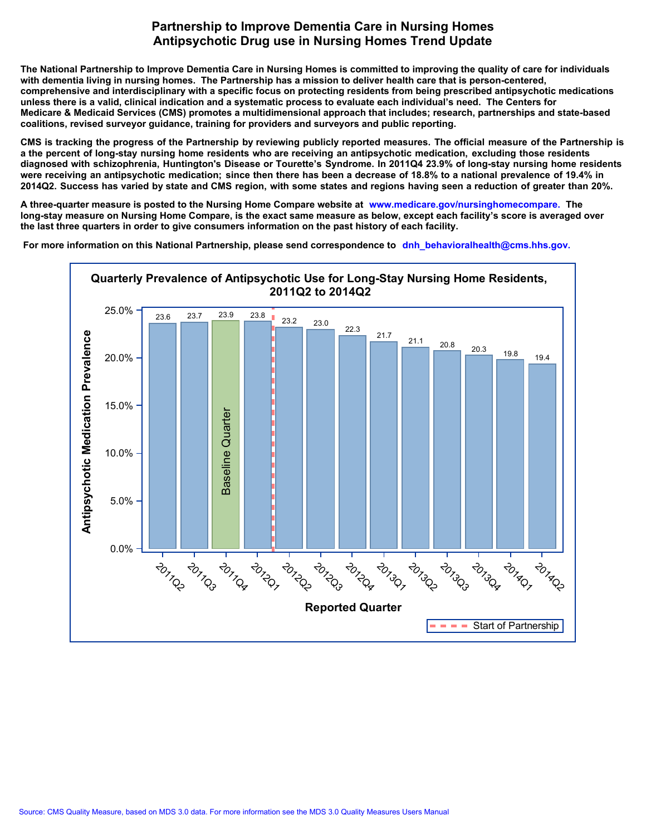## **Partnership to Improve Dementia Care in Nursing Homes Antipsychotic Drug use in Nursing Homes Trend Update**

**The National Partnership to Improve Dementia Care in Nursing Homes is committed to improving the quality of care for individuals with dementia living in nursing homes. The Partnership has a mission to deliver health care that is person-centered, comprehensive and interdisciplinary with a specific focus on protecting residents from being prescribed antipsychotic medications unless there is a valid, clinical indication and a systematic process to evaluate each individual's need. The Centers for Medicare & Medicaid Services (CMS) promotes a multidimensional approach that includes; research, partnerships and state-based coalitions, revised surveyor guidance, training for providers and surveyors and public reporting.**

CMS is tracking the progress of the Partnership by reviewing publicly reported measures. The official measure of the Partnership is a the percent of long-stay nursing home residents who are receiving an antipsychotic medication, excluding those residents diagnosed with schizophrenia. Huntington's Disease or Tourette's Syndrome. In 2011Q4 23.9% of long-stay nursing home residents were receiving an antipsychotic medication; since then there has been a decrease of 18.8% to a national prevalence of 19.4% in 2014Q2. Success has varied by state and CMS region, with some states and regions having seen a reduction of greater than 20%.

**A three-quarter measure is posted to the Nursing Home Compare website at www.medicare.gov/nursinghomecompare. The long-stay measure on Nursing Home Compare, is the exact same measure as below, except each facility's score is averaged over the last three quarters in order to give consumers information on the past history of each facility.**

 **[For more information on this National Partnership, please send correspondence to](mailto:dnh_behavioralhealth@cms.hhs.gov) dnh\_behavioralhealth@cms.hhs.gov.**

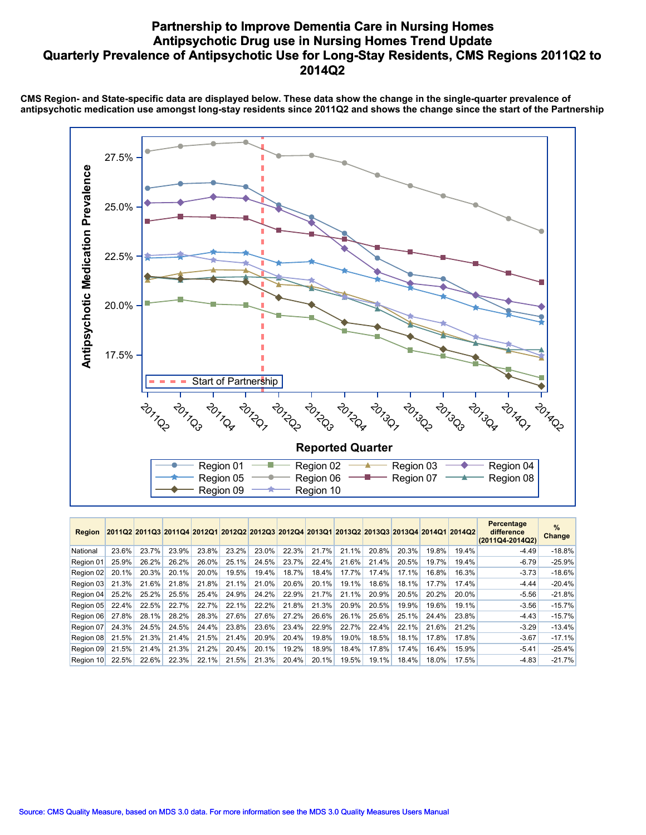## **Partnership to Improve Dementia Care in Nursing Homes Antipsychotic Drug use in Nursing Homes Trend Update Quarterly Prevalence of Antipsychotic Use for Long-Stay Residents, CMS Regions 2011Q2 to 2014Q2**

**CMS Region- and State-specific data are displayed below. These data show the change in the single-quarter prevalence of antipsychotic medication use amongst long-stay residents since 2011Q2 and shows the change since the start of the Partnership**



| <b>Region</b> |       |       | 2011Q2 2011Q3 2011Q4 2012Q1 2012Q2 2012Q3 2012Q4 2013Q1 2013Q2 2013Q3 2013Q4 2014Q1 2014Q2 |       |       |       |       |       |       |       |       |       |       | Percentage<br>difference<br>(2011Q4-2014Q2) | $\%$<br>Change |
|---------------|-------|-------|--------------------------------------------------------------------------------------------|-------|-------|-------|-------|-------|-------|-------|-------|-------|-------|---------------------------------------------|----------------|
| National      | 23.6% | 23.7% | 23.9%                                                                                      | 23.8% | 23.2% | 23.0% | 22.3% | 21.7% | 21.1% | 20.8% | 20.3% | 19.8% | 19.4% | $-4.49$                                     | $-18.8%$       |
| Region 01     | 25.9% | 26.2% | 26.2%                                                                                      | 26.0% | 25.1% | 24.5% | 23.7% | 22.4% | 21.6% | 21.4% | 20.5% | 19.7% | 19.4% | $-6.79$                                     | $-25.9%$       |
| Region 02     | 20.1% | 20.3% | 20.1%                                                                                      | 20.0% | 19.5% | 19.4% | 18.7% | 18.4% | 17.7% | 17.4% | 17.1% | 16.8% | 16.3% | $-3.73$                                     | $-18.6%$       |
| Region 03     | 21.3% | 21.6% | 21.8%                                                                                      | 21.8% | 21.1% | 21.0% | 20.6% | 20.1% | 19.1% | 18.6% | 18.1% | 17.7% | 17.4% | $-4.44$                                     | $-20.4%$       |
| Region 04     | 25.2% | 25.2% | 25.5%                                                                                      | 25.4% | 24.9% | 24.2% | 22.9% | 21.7% | 21.1% | 20.9% | 20.5% | 20.2% | 20.0% | $-5.56$                                     | $-21.8%$       |
| Region 05     | 22.4% | 22.5% | 22.7%                                                                                      | 22.7% | 22.1% | 22.2% | 21.8% | 21.3% | 20.9% | 20.5% | 19.9% | 19.6% | 19.1% | $-3.56$                                     | $-15.7%$       |
| Region 06     | 27.8% | 28.1% | 28.2%                                                                                      | 28.3% | 27.6% | 27.6% | 27.2% | 26.6% | 26.1% | 25.6% | 25.1% | 24.4% | 23.8% | $-4.43$                                     | $-15.7%$       |
| Region 07     | 24.3% | 24.5% | 24.5%                                                                                      | 24.4% | 23.8% | 23.6% | 23.4% | 22.9% | 22.7% | 22.4% | 22.1% | 21.6% | 21.2% | $-3.29$                                     | $-13.4%$       |
| Region 08     | 21.5% | 21.3% | 21.4%                                                                                      | 21.5% | 21.4% | 20.9% | 20.4% | 19.8% | 19.0% | 18.5% | 18.1% | 17.8% | 17.8% | $-3.67$                                     | $-17.1%$       |
| Region 09     | 21.5% | 21.4% | 21.3%                                                                                      | 21.2% | 20.4% | 20.1% | 19.2% | 18.9% | 18.4% | 17.8% | 17.4% | 16.4% | 15.9% | $-5.41$                                     | $-25.4%$       |
| Region 10     | 22.5% | 22.6% | 22.3%                                                                                      | 22.1% | 21.5% | 21.3% | 20.4% | 20.1% | 19.5% | 19.1% | 18.4% | 18.0% | 17.5% | $-4.83$                                     | $-21.7%$       |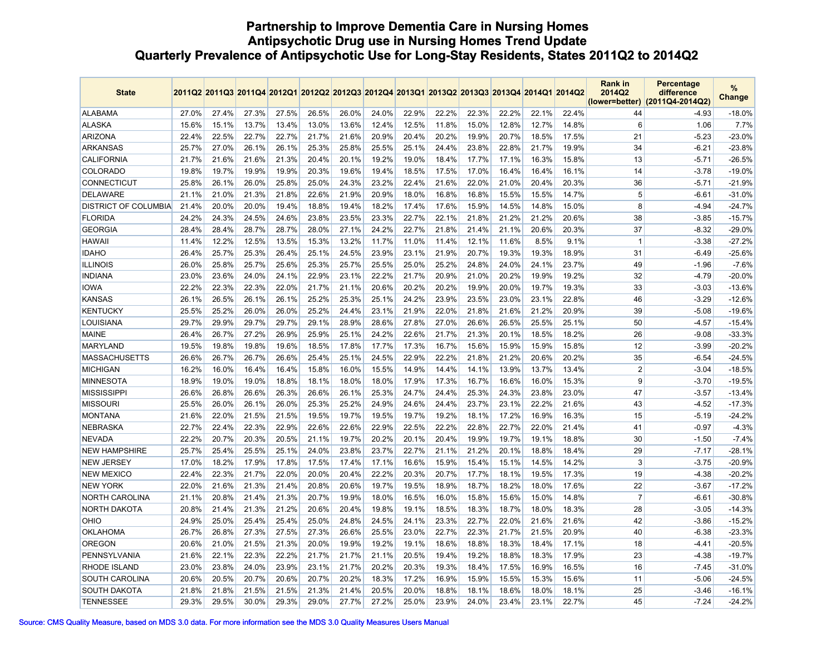## **Partnership to Improve Dementia Care in Nursing Homes Antipsychotic Drug use in Nursing Homes Trend Update Quarterly Prevalence of Antipsychotic Use for Long-Stay Residents, States 2011Q2 to 2014Q2**

| <b>State</b>                |       | 2011Q2 2011Q3 2011Q4 2012Q1 2012Q2 2012Q3 2012Q4 2013Q1 2013Q2 2013Q3 2013Q4 2014Q1 2014Q2 |       |       |       |       |       |       |       |       |       |       |       | <b>Rank in</b><br>2014Q2 | <b>Percentage</b><br>difference<br>(lower=better) (2011Q4-2014Q2) | %<br><b>Change</b> |
|-----------------------------|-------|--------------------------------------------------------------------------------------------|-------|-------|-------|-------|-------|-------|-------|-------|-------|-------|-------|--------------------------|-------------------------------------------------------------------|--------------------|
| <b>ALABAMA</b>              | 27.0% | 27.4%                                                                                      | 27.3% | 27.5% | 26.5% | 26.0% | 24.0% | 22.9% | 22.2% | 22.3% | 22.2% | 22.1% | 22.4% | 44                       | $-4.93$                                                           | $-18.0%$           |
| <b>ALASKA</b>               | 15.6% | 15.1%                                                                                      | 13.7% | 13.4% | 13.0% | 13.6% | 12.4% | 12.5% | 11.8% | 15.0% | 12.8% | 12.7% | 14.8% | 6                        | 1.06                                                              | 7.7%               |
| <b>ARIZONA</b>              | 22.4% | 22.5%                                                                                      | 22.7% | 22.7% | 21.7% | 21.6% | 20.9% | 20.4% | 20.2% | 19.9% | 20.7% | 18.5% | 17.5% | 21                       | $-5.23$                                                           | $-23.0%$           |
| <b>ARKANSAS</b>             | 25.7% | 27.0%                                                                                      | 26.1% | 26.1% | 25.3% | 25.8% | 25.5% | 25.1% | 24.4% | 23.8% | 22.8% | 21.7% | 19.9% | 34                       | $-6.21$                                                           | $-23.8%$           |
| <b>CALIFORNIA</b>           | 21.7% | 21.6%                                                                                      | 21.6% | 21.3% | 20.4% | 20.1% | 19.2% | 19.0% | 18.4% | 17.7% | 17.1% | 16.3% | 15.8% | 13                       | $-5.71$                                                           | $-26.5%$           |
| <b>COLORADO</b>             | 19.8% | 19.7%                                                                                      | 19.9% | 19.9% | 20.3% | 19.6% | 19.4% | 18.5% | 17.5% | 17.0% | 16.4% | 16.4% | 16.1% | 14                       | $-3.78$                                                           | $-19.0%$           |
| <b>CONNECTICUT</b>          | 25.8% | 26.1%                                                                                      | 26.0% | 25.8% | 25.0% | 24.3% | 23.2% | 22.4% | 21.6% | 22.0% | 21.0% | 20.4% | 20.3% | 36                       | $-5.71$                                                           | $-21.9%$           |
| <b>DELAWARE</b>             | 21.1% | 21.0%                                                                                      | 21.3% | 21.8% | 22.6% | 21.9% | 20.9% | 18.0% | 16.8% | 16.8% | 15.5% | 15.5% | 14.7% | 5                        | $-6.61$                                                           | $-31.0%$           |
| <b>DISTRICT OF COLUMBIA</b> | 21.4% | 20.0%                                                                                      | 20.0% | 19.4% | 18.8% | 19.4% | 18.2% | 17.4% | 17.6% | 15.9% | 14.5% | 14.8% | 15.0% | 8                        | $-4.94$                                                           | $-24.7%$           |
| <b>FLORIDA</b>              | 24.2% | 24.3%                                                                                      | 24.5% | 24.6% | 23.8% | 23.5% | 23.3% | 22.7% | 22.1% | 21.8% | 21.2% | 21.2% | 20.6% | 38                       | $-3.85$                                                           | $-15.7%$           |
| <b>GEORGIA</b>              | 28.4% | 28.4%                                                                                      | 28.7% | 28.7% | 28.0% | 27.1% | 24.2% | 22.7% | 21.8% | 21.4% | 21.1% | 20.6% | 20.3% | 37                       | $-8.32$                                                           | $-29.0%$           |
| <b>HAWAII</b>               | 11.4% | 12.2%                                                                                      | 12.5% | 13.5% | 15.3% | 13.2% | 11.7% | 11.0% | 11.4% | 12.1% | 11.6% | 8.5%  | 9.1%  | -1                       | $-3.38$                                                           | $-27.2%$           |
| <b>IDAHO</b>                | 26.4% | 25.7%                                                                                      | 25.3% | 26.4% | 25.1% | 24.5% | 23.9% | 23.1% | 21.9% | 20.7% | 19.3% | 19.3% | 18.9% | 31                       | $-6.49$                                                           | $-25.6%$           |
| <b>ILLINOIS</b>             | 26.0% | 25.8%                                                                                      | 25.7% | 25.6% | 25.3% | 25.7% | 25.5% | 25.0% | 25.2% | 24.8% | 24.0% | 24.1% | 23.7% | 49                       | $-1.96$                                                           | $-7.6%$            |
| INDIANA                     | 23.0% | 23.6%                                                                                      | 24.0% | 24.1% | 22.9% | 23.1% | 22.2% | 21.7% | 20.9% | 21.0% | 20.2% | 19.9% | 19.2% | 32                       | $-4.79$                                                           | $-20.0\%$          |
| <b>IOWA</b>                 | 22.2% | 22.3%                                                                                      | 22.3% | 22.0% | 21.7% | 21.1% | 20.6% | 20.2% | 20.2% | 19.9% | 20.0% | 19.7% | 19.3% | 33                       | $-3.03$                                                           | $-13.6%$           |
| <b>KANSAS</b>               | 26.1% | 26.5%                                                                                      | 26.1% | 26.1% | 25.2% | 25.3% | 25.1% | 24.2% | 23.9% | 23.5% | 23.0% | 23.1% | 22.8% | 46                       | $-3.29$                                                           | $-12.6%$           |
| KENTUCKY                    | 25.5% | 25.2%                                                                                      | 26.0% | 26.0% | 25.2% | 24.4% | 23.1% | 21.9% | 22.0% | 21.8% | 21.6% | 21.2% | 20.9% | 39                       | $-5.08$                                                           | $-19.6%$           |
| LOUISIANA                   | 29.7% | 29.9%                                                                                      | 29.7% | 29.7% | 29.1% | 28.9% | 28.6% | 27.8% | 27.0% | 26.6% | 26.5% | 25.5% | 25.1% | 50                       | $-4.57$                                                           | $-15.4%$           |
| <b>MAINE</b>                | 26.4% | 26.7%                                                                                      | 27.2% | 26.9% | 25.9% | 25.1% | 24.2% | 22.6% | 21.7% | 21.3% | 20.1% | 18.5% | 18.2% | 26                       | $-9.08$                                                           | $-33.3%$           |
| <b>MARYLAND</b>             | 19.5% | 19.8%                                                                                      | 19.8% | 19.6% | 18.5% | 17.8% | 17.7% | 17.3% | 16.7% | 15.6% | 15.9% | 15.9% | 15.8% | 12                       | $-3.99$                                                           | $-20.2%$           |
| <b>MASSACHUSETTS</b>        | 26.6% | 26.7%                                                                                      | 26.7% | 26.6% | 25.4% | 25.1% | 24.5% | 22.9% | 22.2% | 21.8% | 21.2% | 20.6% | 20.2% | 35                       | $-6.54$                                                           | -24.5%             |
| <b>MICHIGAN</b>             | 16.2% | 16.0%                                                                                      | 16.4% | 16.4% | 15.8% | 16.0% | 15.5% | 14.9% | 14.4% | 14.1% | 13.9% | 13.7% | 13.4% | $\overline{2}$           | $-3.04$                                                           | $-18.5%$           |
| <b>MINNESOTA</b>            | 18.9% | 19.0%                                                                                      | 19.0% | 18.8% | 18.1% | 18.0% | 18.0% | 17.9% | 17.3% | 16.7% | 16.6% | 16.0% | 15.3% | 9                        | $-3.70$                                                           | $-19.5%$           |
| <b>MISSISSIPPI</b>          | 26.6% | 26.8%                                                                                      | 26.6% | 26.3% | 26.6% | 26.1% | 25.3% | 24.7% | 24.4% | 25.3% | 24.3% | 23.8% | 23.0% | 47                       | $-3.57$                                                           | $-13.4%$           |
| <b>MISSOURI</b>             | 25.5% | 26.0%                                                                                      | 26.1% | 26.0% | 25.3% | 25.2% | 24.9% | 24.6% | 24.4% | 23.7% | 23.1% | 22.2% | 21.6% | 43                       | $-4.52$                                                           | $-17.3%$           |
| <b>MONTANA</b>              | 21.6% | 22.0%                                                                                      | 21.5% | 21.5% | 19.5% | 19.7% | 19.5% | 19.7% | 19.2% | 18.1% | 17.2% | 16.9% | 16.3% | 15                       | $-5.19$                                                           | $-24.2%$           |
| <b>NEBRASKA</b>             | 22.7% | 22.4%                                                                                      | 22.3% | 22.9% | 22.6% | 22.6% | 22.9% | 22.5% | 22.2% | 22.8% | 22.7% | 22.0% | 21.4% | 41                       | $-0.97$                                                           | $-4.3%$            |
| <b>NEVADA</b>               | 22.2% | 20.7%                                                                                      | 20.3% | 20.5% | 21.1% | 19.7% | 20.2% | 20.1% | 20.4% | 19.9% | 19.7% | 19.1% | 18.8% | 30                       | $-1.50$                                                           | $-7.4%$            |
| <b>NEW HAMPSHIRE</b>        | 25.7% | 25.4%                                                                                      | 25.5% | 25.1% | 24.0% | 23.8% | 23.7% | 22.7% | 21.1% | 21.2% | 20.1% | 18.8% | 18.4% | 29                       | $-7.17$                                                           | $-28.1%$           |
| <b>NEW JERSEY</b>           | 17.0% | 18.2%                                                                                      | 17.9% | 17.8% | 17.5% | 17.4% | 17.1% | 16.6% | 15.9% | 15.4% | 15.1% | 14.5% | 14.2% | 3                        | $-3.75$                                                           | $-20.9%$           |
| <b>NEW MEXICO</b>           | 22.4% | 22.3%                                                                                      | 21.7% | 22.0% | 20.0% | 20.4% | 22.2% | 20.3% | 20.7% | 17.7% | 18.1% | 19.5% | 17.3% | 19                       | $-4.38$                                                           | $-20.2%$           |
| <b>NEW YORK</b>             | 22.0% | 21.6%                                                                                      | 21.3% | 21.4% | 20.8% | 20.6% | 19.7% | 19.5% | 18.9% | 18.7% | 18.2% | 18.0% | 17.6% | 22                       | $-3.67$                                                           | $-17.2%$           |
| NORTH CAROLINA              | 21.1% | 20.8%                                                                                      | 21.4% | 21.3% | 20.7% | 19.9% | 18.0% | 16.5% | 16.0% | 15.8% | 15.6% | 15.0% | 14.8% | $\overline{7}$           | $-6.61$                                                           | $-30.8%$           |
| <b>NORTH DAKOTA</b>         | 20.8% | 21.4%                                                                                      | 21.3% | 21.2% | 20.6% | 20.4% | 19.8% | 19.1% | 18.5% | 18.3% | 18.7% | 18.0% | 18.3% | 28                       | $-3.05$                                                           | $-14.3%$           |
| OHIO                        | 24.9% | 25.0%                                                                                      | 25.4% | 25.4% | 25.0% | 24.8% | 24.5% | 24.1% | 23.3% | 22.7% | 22.0% | 21.6% | 21.6% | 42                       | $-3.86$                                                           | $-15.2%$           |
| <b>OKLAHOMA</b>             | 26.7% | 26.8%                                                                                      | 27.3% | 27.5% | 27.3% | 26.6% | 25.5% | 23.0% | 22.7% | 22.3% | 21.7% | 21.5% | 20.9% | 40                       | $-6.38$                                                           | $-23.3%$           |
| <b>OREGON</b>               | 20.6% | 21.0%                                                                                      | 21.5% | 21.3% | 20.0% | 19.9% | 19.2% | 19.1% | 18.6% | 18.8% | 18.3% | 18.4% | 17.1% | 18                       | $-4.41$                                                           | $-20.5%$           |
| PENNSYLVANIA                | 21.6% | 22.1%                                                                                      | 22.3% | 22.2% | 21.7% | 21.7% | 21.1% | 20.5% | 19.4% | 19.2% | 18.8% | 18.3% | 17.9% | 23                       | $-4.38$                                                           | $-19.7%$           |
| <b>RHODE ISLAND</b>         | 23.0% | 23.8%                                                                                      | 24.0% | 23.9% | 23.1% | 21.7% | 20.2% | 20.3% | 19.3% | 18.4% | 17.5% | 16.9% | 16.5% | 16                       | $-7.45$                                                           | $-31.0%$           |
| SOUTH CAROLINA              | 20.6% | 20.5%                                                                                      | 20.7% | 20.6% | 20.7% | 20.2% | 18.3% | 17.2% | 16.9% | 15.9% | 15.5% | 15.3% | 15.6% | 11                       | $-5.06$                                                           | $-24.5%$           |
| <b>SOUTH DAKOTA</b>         | 21.8% | 21.8%                                                                                      | 21.5% | 21.5% | 21.3% | 21.4% | 20.5% | 20.0% | 18.8% | 18.1% | 18.6% | 18.0% | 18.1% | 25                       | $-3.46$                                                           | $-16.1%$           |
| <b>TENNESSEE</b>            | 29.3% | 29.5%                                                                                      | 30.0% | 29.3% | 29.0% | 27.7% | 27.2% | 25.0% | 23.9% | 24.0% | 23.4% | 23.1% | 22.7% | 45                       | $-7.24$                                                           | $-24.2%$           |